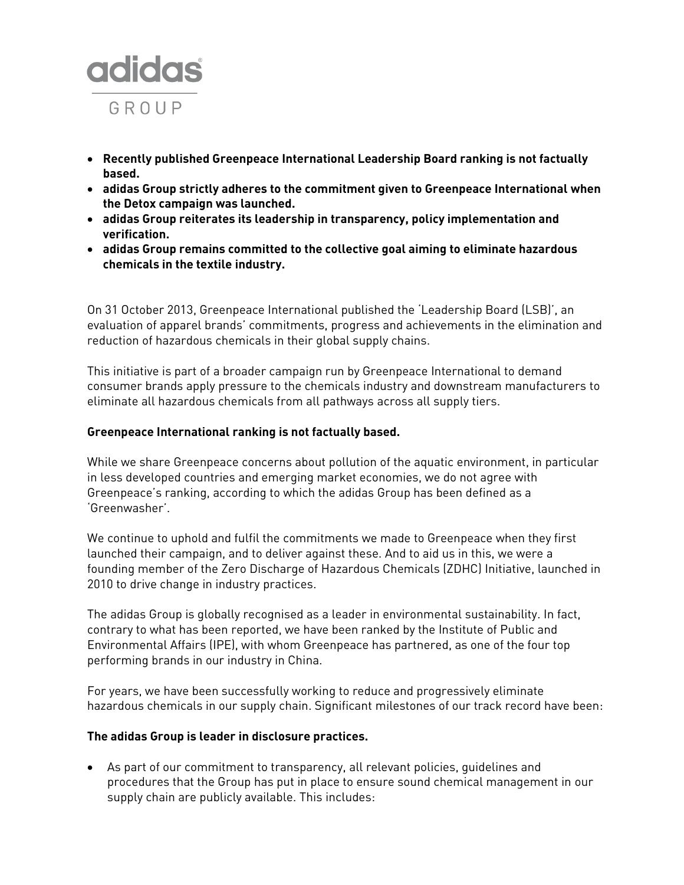

- **Recently published Greenpeace International Leadership Board ranking is not factually based.**
- **adidas Group strictly adheres to the commitment given to Greenpeace International when the Detox campaign was launched.**
- **adidas Group reiterates its leadership in transparency, policy implementation and verification.**
- **adidas Group remains committed to the collective goal aiming to eliminate hazardous chemicals in the textile industry.**

On 31 October 2013, Greenpeace International published the 'Leadership Board (LSB)', an evaluation of apparel brands' commitments, progress and achievements in the elimination and reduction of hazardous chemicals in their global supply chains.

This initiative is part of a broader campaign run by Greenpeace International to demand consumer brands apply pressure to the chemicals industry and downstream manufacturers to eliminate all hazardous chemicals from all pathways across all supply tiers.

## **Greenpeace International ranking is not factually based.**

While we share Greenpeace concerns about pollution of the aquatic environment, in particular in less developed countries and emerging market economies, we do not agree with Greenpeace's ranking, according to which the adidas Group has been defined as a 'Greenwasher'.

We continue to uphold and fulfil the commitments we made to Greenpeace when they first launched their campaign, and to deliver against these. And to aid us in this, we were a founding member of the Zero Discharge of Hazardous Chemicals (ZDHC) Initiative, launched in 2010 to drive change in industry practices.

The adidas Group is globally recognised as a leader in environmental sustainability. In fact, contrary to what has been reported, we have been ranked by the Institute of Public and Environmental Affairs (IPE), with whom Greenpeace has partnered, as one of the four top performing brands in our industry in China.

For years, we have been successfully working to reduce and progressively eliminate hazardous chemicals in our supply chain. Significant milestones of our track record have been:

## **The adidas Group is leader in disclosure practices.**

 As part of our commitment to transparency, all relevant policies, guidelines and procedures that the Group has put in place to ensure sound chemical management in our supply chain are publicly available. This includes: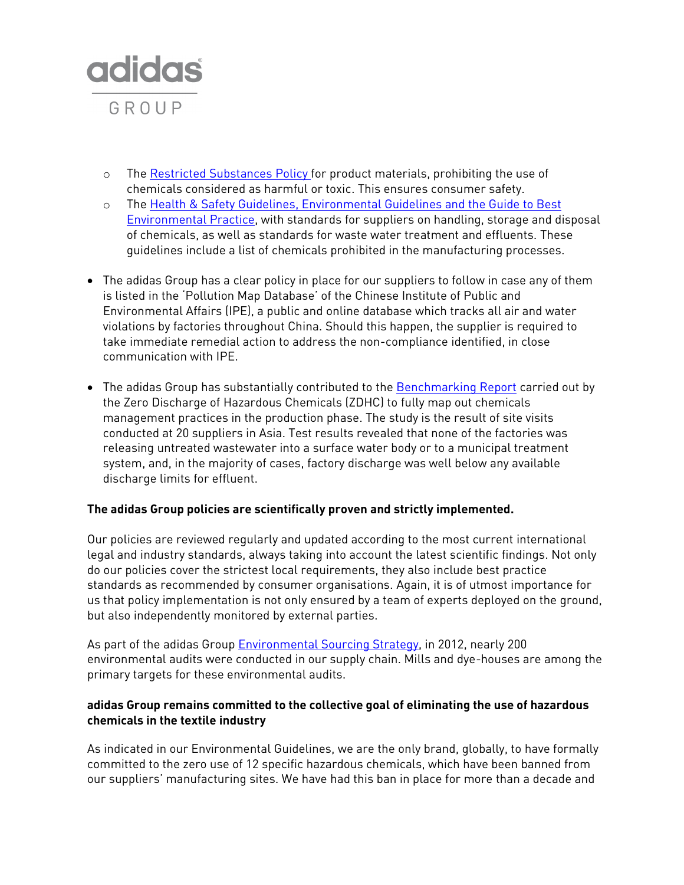

- o The [Restricted Substances Policy](http://www.adidas-group.com/en/sustainability/products/materials/) for product materials, prohibiting the use of chemicals considered as harmful or toxic. This ensures consumer safety.
- o The [Health & Safety Guidelines, Environmental Guidelines and the Guide to Best](http://www.adidas-group.com/en/sustainability/supply-chain/standards-and-policies/)  [Environmental Practice,](http://www.adidas-group.com/en/sustainability/supply-chain/standards-and-policies/) with standards for suppliers on handling, storage and disposal of chemicals, as well as standards for waste water treatment and effluents. These guidelines include a list of chemicals prohibited in the manufacturing processes.
- The adidas Group has a clear policy in place for our suppliers to follow in case any of them is listed in the 'Pollution Map Database' of the Chinese Institute of Public and Environmental Affairs (IPE), a public and online database which tracks all air and water violations by factories throughout China. Should this happen, the supplier is required to take immediate remedial action to address the non-compliance identified, in close communication with IPE.
- The adidas Group has substantially contributed to the [Benchmarking Report](http://www.roadmaptozero.com/programme-documents.php) carried out by the Zero Discharge of Hazardous Chemicals (ZDHC) to fully map out chemicals management practices in the production phase. The study is the result of site visits conducted at 20 suppliers in Asia. Test results revealed that none of the factories was releasing untreated wastewater into a surface water body or to a municipal treatment system, and, in the majority of cases, factory discharge was well below any available discharge limits for effluent.

## **The adidas Group policies are scientifically proven and strictly implemented.**

Our policies are reviewed regularly and updated according to the most current international legal and industry standards, always taking into account the latest scientific findings. Not only do our policies cover the strictest local requirements, they also include best practice standards as recommended by consumer organisations. Again, it is of utmost importance for us that policy implementation is not only ensured by a team of experts deployed on the ground, but also independently monitored by external parties.

As part of the adidas Group [Environmental Sourcing Strategy,](http://www.adidas-group.com/en/sustainability/supply-chain/supply-chain-approach/) in 2012, nearly 200 environmental audits were conducted in our supply chain. Mills and dye-houses are among the primary targets for these environmental audits.

## **adidas Group remains committed to the collective goal of eliminating the use of hazardous chemicals in the textile industry**

As indicated in our Environmental Guidelines, we are the only brand, globally, to have formally committed to the zero use of 12 specific hazardous chemicals, which have been banned from our suppliers' manufacturing sites. We have had this ban in place for more than a decade and